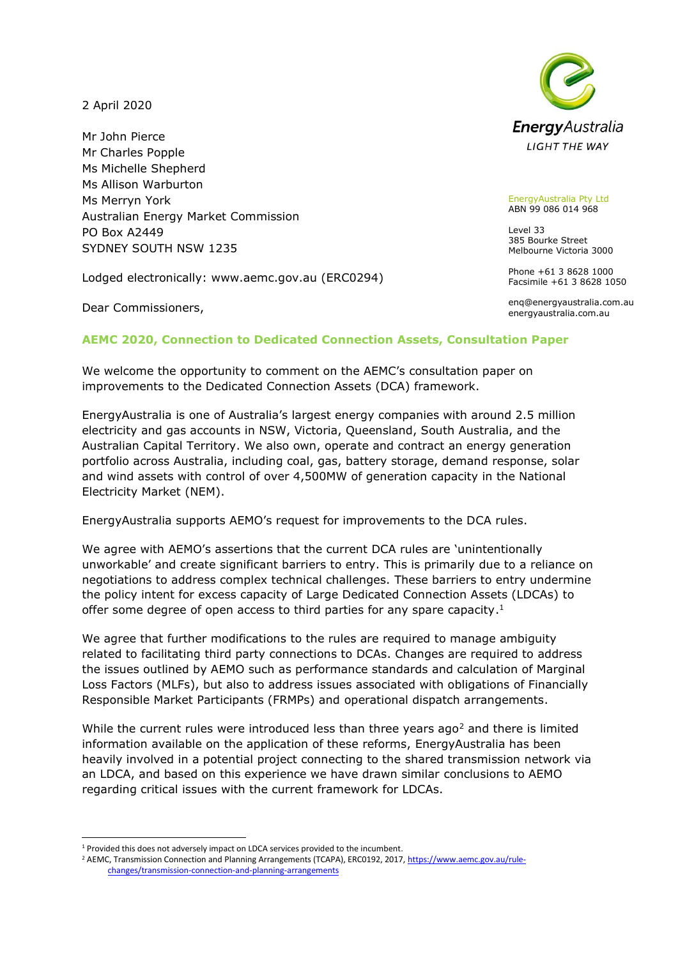2 April 2020

Mr John Pierce Mr Charles Popple Ms Michelle Shepherd Ms Allison Warburton Ms Merryn York Australian Energy Market Commission PO Box A2449 SYDNEY SOUTH NSW 1235

Lodged electronically: www.aemc.gov.au (ERC0294)

Dear Commissioners,



EnergyAustralia Pty Ltd ABN 99 086 014 968

Level 33 385 Bourke Street Melbourne Victoria 3000

Phone +61 3 8628 1000 Facsimile +61 3 8628 1050

enq@energyaustralia.com.au energyaustralia.com.au

## **AEMC 2020, Connection to Dedicated Connection Assets, Consultation Paper**

We welcome the opportunity to comment on the AEMC's consultation paper on improvements to the Dedicated Connection Assets (DCA) framework.

EnergyAustralia is one of Australia's largest energy companies with around 2.5 million electricity and gas accounts in NSW, Victoria, Queensland, South Australia, and the Australian Capital Territory. We also own, operate and contract an energy generation portfolio across Australia, including coal, gas, battery storage, demand response, solar and wind assets with control of over 4,500MW of generation capacity in the National Electricity Market (NEM).

EnergyAustralia supports AEMO's request for improvements to the DCA rules.

We agree with AEMO's assertions that the current DCA rules are 'unintentionally unworkable' and create significant barriers to entry. This is primarily due to a reliance on negotiations to address complex technical challenges. These barriers to entry undermine the policy intent for excess capacity of Large Dedicated Connection Assets (LDCAs) to offer some degree of open access to third parties for any spare capacity.<sup>1</sup>

We agree that further modifications to the rules are required to manage ambiguity related to facilitating third party connections to DCAs. Changes are required to address the issues outlined by AEMO such as performance standards and calculation of Marginal Loss Factors (MLFs), but also to address issues associated with obligations of Financially Responsible Market Participants (FRMPs) and operational dispatch arrangements.

While the current rules were introduced less than three years ago<sup>2</sup> and there is limited information available on the application of these reforms, EnergyAustralia has been heavily involved in a potential project connecting to the shared transmission network via an LDCA, and based on this experience we have drawn similar conclusions to AEMO regarding critical issues with the current framework for LDCAs.

<sup>1</sup> Provided this does not adversely impact on LDCA services provided to the incumbent.

<sup>&</sup>lt;sup>2</sup> AEMC, Transmission Connection and Planning Arrangements (TCAPA), ERC0192, 2017[, https://www.aemc.gov.au/rule](https://www.aemc.gov.au/rule-changes/transmission-connection-and-planning-arrangements)[changes/transmission-connection-and-planning-arrangements](https://www.aemc.gov.au/rule-changes/transmission-connection-and-planning-arrangements)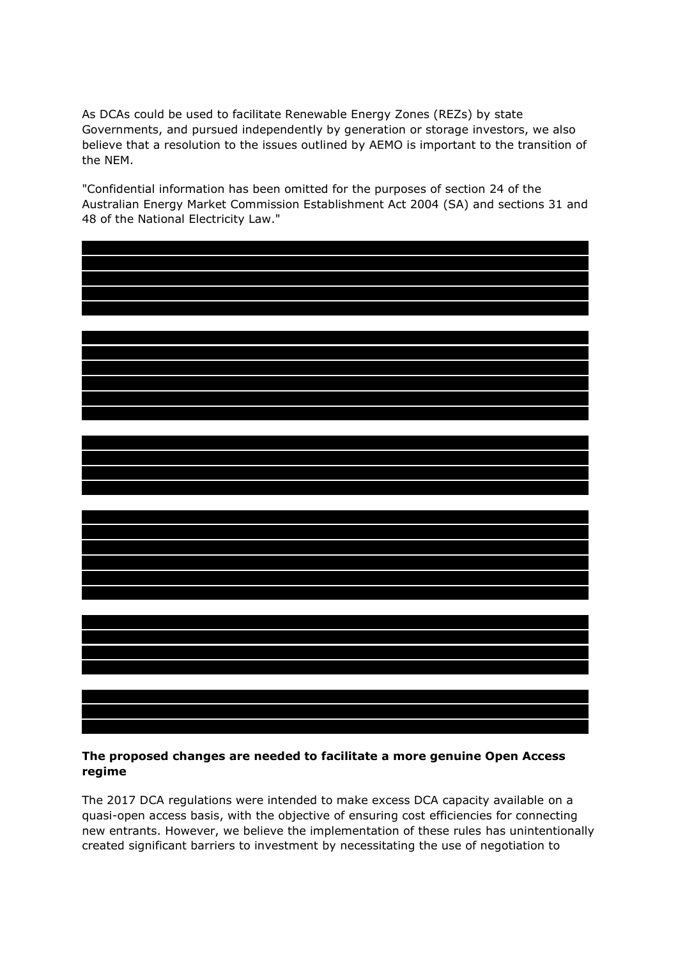As DCAs could be used to facilitate Renewable Energy Zones (REZs) by state Governments, and pursued independently by generation or storage investors, we also believe that a resolution to the issues outlined by AEMO is important to the transition of the NEM.

"Confidential information has been omitted for the purposes of section 24 of the Australian Energy Market Commission Establishment Act 2004 (SA) and sections 31 and 48 of the National Electricity Law."





# **The proposed changes are needed to facilitate a more genuine Open Access regime**

The 2017 DCA regulations were intended to make excess DCA capacity available on a quasi-open access basis, with the objective of ensuring cost efficiencies for connecting new entrants. However, we believe the implementation of these rules has unintentionally created significant barriers to investment by necessitating the use of negotiation to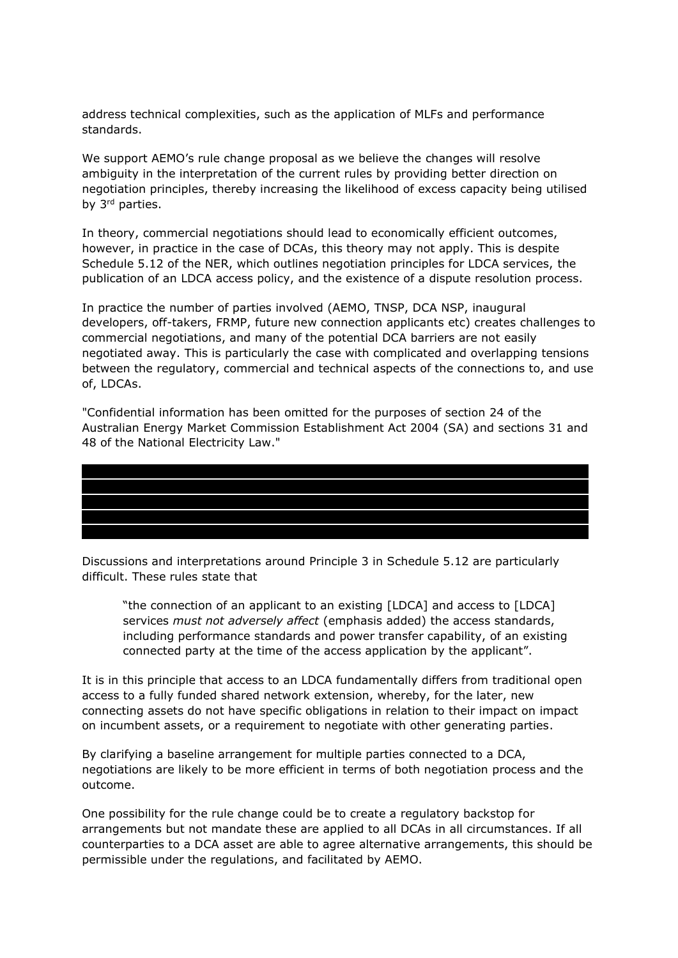address technical complexities, such as the application of MLFs and performance standards.

We support AEMO's rule change proposal as we believe the changes will resolve ambiguity in the interpretation of the current rules by providing better direction on negotiation principles, thereby increasing the likelihood of excess capacity being utilised by 3<sup>rd</sup> parties.

In theory, commercial negotiations should lead to economically efficient outcomes, however, in practice in the case of DCAs, this theory may not apply. This is despite Schedule 5.12 of the NER, which outlines negotiation principles for LDCA services, the publication of an LDCA access policy, and the existence of a dispute resolution process.

In practice the number of parties involved (AEMO, TNSP, DCA NSP, inaugural developers, off-takers, FRMP, future new connection applicants etc) creates challenges to commercial negotiations, and many of the potential DCA barriers are not easily negotiated away. This is particularly the case with complicated and overlapping tensions between the regulatory, commercial and technical aspects of the connections to, and use of, LDCAs.

"Confidential information has been omitted for the purposes of section 24 of the Australian Energy Market Commission Establishment Act 2004 (SA) and sections 31 and 48 of the National Electricity Law."

Discussions and interpretations around Principle 3 in Schedule 5.12 are particularly difficult. These rules state that

"the connection of an applicant to an existing [LDCA] and access to [LDCA] services *must not adversely affect* (emphasis added) the access standards, including performance standards and power transfer capability, of an existing connected party at the time of the access application by the applicant".

It is in this principle that access to an LDCA fundamentally differs from traditional open access to a fully funded shared network extension, whereby, for the later, new connecting assets do not have specific obligations in relation to their impact on impact on incumbent assets, or a requirement to negotiate with other generating parties.

By clarifying a baseline arrangement for multiple parties connected to a DCA, negotiations are likely to be more efficient in terms of both negotiation process and the outcome.

One possibility for the rule change could be to create a regulatory backstop for arrangements but not mandate these are applied to all DCAs in all circumstances. If all counterparties to a DCA asset are able to agree alternative arrangements, this should be permissible under the regulations, and facilitated by AEMO.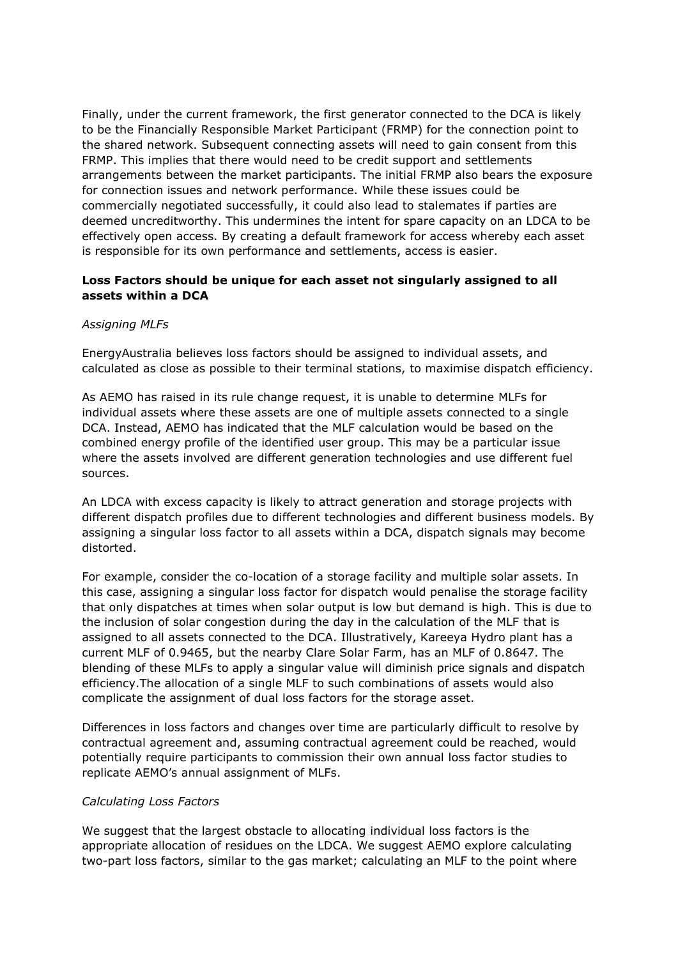Finally, under the current framework, the first generator connected to the DCA is likely to be the Financially Responsible Market Participant (FRMP) for the connection point to the shared network. Subsequent connecting assets will need to gain consent from this FRMP. This implies that there would need to be credit support and settlements arrangements between the market participants. The initial FRMP also bears the exposure for connection issues and network performance. While these issues could be commercially negotiated successfully, it could also lead to stalemates if parties are deemed uncreditworthy. This undermines the intent for spare capacity on an LDCA to be effectively open access. By creating a default framework for access whereby each asset is responsible for its own performance and settlements, access is easier.

## **Loss Factors should be unique for each asset not singularly assigned to all assets within a DCA**

#### *Assigning MLFs*

EnergyAustralia believes loss factors should be assigned to individual assets, and calculated as close as possible to their terminal stations, to maximise dispatch efficiency.

As AEMO has raised in its rule change request, it is unable to determine MLFs for individual assets where these assets are one of multiple assets connected to a single DCA. Instead, AEMO has indicated that the MLF calculation would be based on the combined energy profile of the identified user group. This may be a particular issue where the assets involved are different generation technologies and use different fuel sources.

An LDCA with excess capacity is likely to attract generation and storage projects with different dispatch profiles due to different technologies and different business models. By assigning a singular loss factor to all assets within a DCA, dispatch signals may become distorted.

For example, consider the co-location of a storage facility and multiple solar assets. In this case, assigning a singular loss factor for dispatch would penalise the storage facility that only dispatches at times when solar output is low but demand is high. This is due to the inclusion of solar congestion during the day in the calculation of the MLF that is assigned to all assets connected to the DCA. Illustratively, Kareeya Hydro plant has a current MLF of 0.9465, but the nearby Clare Solar Farm, has an MLF of 0.8647. The blending of these MLFs to apply a singular value will diminish price signals and dispatch efficiency.The allocation of a single MLF to such combinations of assets would also complicate the assignment of dual loss factors for the storage asset.

Differences in loss factors and changes over time are particularly difficult to resolve by contractual agreement and, assuming contractual agreement could be reached, would potentially require participants to commission their own annual loss factor studies to replicate AEMO's annual assignment of MLFs.

#### *Calculating Loss Factors*

We suggest that the largest obstacle to allocating individual loss factors is the appropriate allocation of residues on the LDCA. We suggest AEMO explore calculating two-part loss factors, similar to the gas market; calculating an MLF to the point where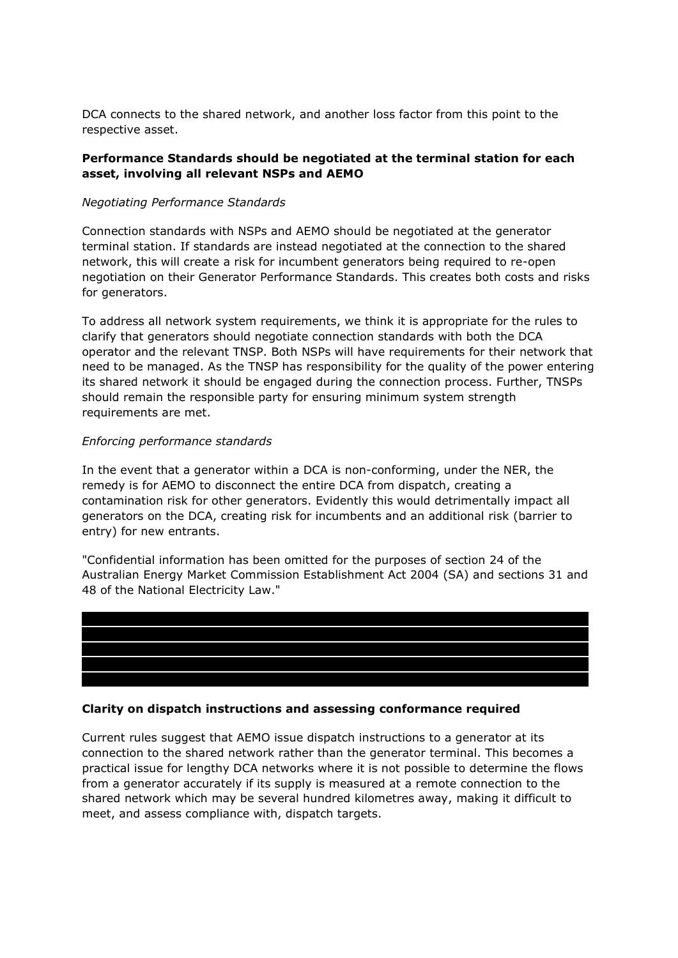DCA connects to the shared network, and another loss factor from this point to the respective asset.

## **Performance Standards should be negotiated at the terminal station for each asset, involving all relevant NSPs and AEMO**

### *Negotiating Performance Standards*

Connection standards with NSPs and AEMO should be negotiated at the generator terminal station. If standards are instead negotiated at the connection to the shared network, this will create a risk for incumbent generators being required to re-open negotiation on their Generator Performance Standards. This creates both costs and risks for generators.

To address all network system requirements, we think it is appropriate for the rules to clarify that generators should negotiate connection standards with both the DCA operator and the relevant TNSP. Both NSPs will have requirements for their network that need to be managed. As the TNSP has responsibility for the quality of the power entering its shared network it should be engaged during the connection process. Further, TNSPs should remain the responsible party for ensuring minimum system strength requirements are met.

## *Enforcing performance standards*

In the event that a generator within a DCA is non-conforming, under the NER, the remedy is for AEMO to disconnect the entire DCA from dispatch, creating a contamination risk for other generators. Evidently this would detrimentally impact all generators on the DCA, creating risk for incumbents and an additional risk (barrier to entry) for new entrants.

"Confidential information has been omitted for the purposes of section 24 of the Australian Energy Market Commission Establishment Act 2004 (SA) and sections 31 and 48 of the National Electricity Law."



# **Clarity on dispatch instructions and assessing conformance required**

Current rules suggest that AEMO issue dispatch instructions to a generator at its connection to the shared network rather than the generator terminal. This becomes a practical issue for lengthy DCA networks where it is not possible to determine the flows from a generator accurately if its supply is measured at a remote connection to the shared network which may be several hundred kilometres away, making it difficult to meet, and assess compliance with, dispatch targets.